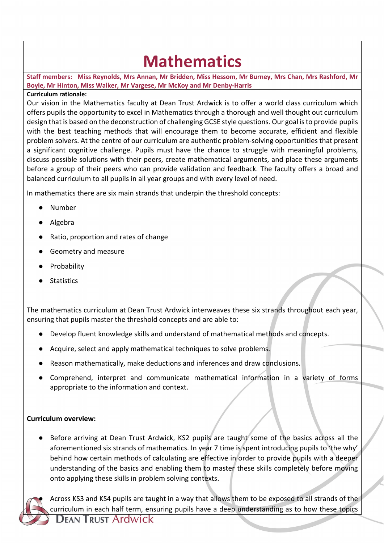## **Mathematics**

**Staff members: Miss Reynolds, Mrs Annan, Mr Bridden, Miss Hessom, Mr Burney, Mrs Chan, Mrs Rashford, Mr Boyle, Mr Hinton, Miss Walker, Mr Vargese, Mr McKoy and Mr Denby-Harris**

## **Curriculum rationale:**

Our vision in the Mathematics faculty at Dean Trust Ardwick is to offer a world class curriculum which offers pupils the opportunity to excel in Mathematics through a thorough and well thought out curriculum design that is based on the deconstruction of challenging GCSE style questions. Our goal is to provide pupils with the best teaching methods that will encourage them to become accurate, efficient and flexible problem solvers. At the centre of our curriculum are authentic problem-solving opportunities that present a significant cognitive challenge. Pupils must have the chance to struggle with meaningful problems, discuss possible solutions with their peers, create mathematical arguments, and place these arguments before a group of their peers who can provide validation and feedback. The faculty offers a broad and balanced curriculum to all pupils in all year groups and with every level of need.

In mathematics there are six main strands that underpin the threshold concepts:

- Number
- Algebra
- Ratio, proportion and rates of change
- Geometry and measure
- Probability
- Statistics

The mathematics curriculum at Dean Trust Ardwick interweaves these six strands throughout each year, ensuring that pupils master the threshold concepts and are able to:

- Develop fluent knowledge skills and understand of mathematical methods and concepts.
- Acquire, select and apply mathematical techniques to solve problems.
- Reason mathematically, make deductions and inferences and draw conclusions.
- Comprehend, interpret and communicate mathematical information in a variety of forms appropriate to the information and context.

## **Curriculum overview:**

● Before arriving at Dean Trust Ardwick, KS2 pupils are taught some of the basics across all the aforementioned six strands of mathematics. In year 7 time is spent introducing pupils to 'the why' behind how certain methods of calculating are effective in order to provide pupils with a deeper understanding of the basics and enabling them to master these skills completely before moving onto applying these skills in problem solving contexts.



Across KS3 and KS4 pupils are taught in a way that allows them to be exposed to all strands of the curriculum in each half term, ensuring pupils have a deep understanding as to how these topics